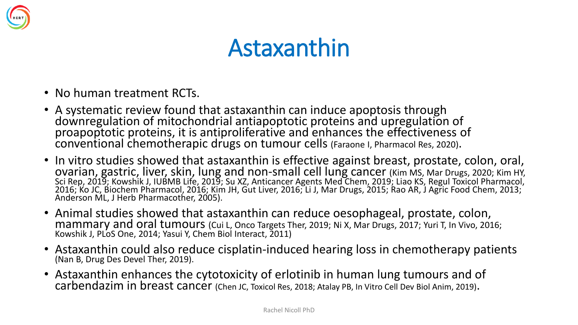

#### Astaxanthin

- No human treatment RCTs.
- A systematic review found that astaxanthin can induce apoptosis through downregulation of mitochondrial antiapoptotic proteins and upregulation of proapoptotic proteins, it is antiproliferative and enhances the effectiveness of conventional chemotherapic drugs on tumour cells (Faraone I, Pharmacol Res, 2020).
- In vitro studies showed that astaxanthin is effective against breast, prostate, colon, oral, ovarian, gastric, liver, skin, lung and non-small cell lung cancer (Kim MS, Mar Drugs, 2020; Kim HY, Sci Rep, 2019; Kowshik J, IUBMB Life, 2019; Su XZ, Anticancer Agents Med Chem, 2019; Liao KS, Regul Toxicol Pharmacol, 2016; Ko JC, Biochem Pharmacol, 2016; Kim JH, Gut Liver, 2016; Li J, Mar Drugs, 2015; Rao AR, J Agric Food Chem, 2013; Anderson ML, J Herb Pharmacother, 2005).
- Animal studies showed that astaxanthin can reduce oesophageal, prostate, colon, mammary and oral tumours (Cui L, Onco Targets Ther, 2019; Ni X, Mar Drugs, 2017; Yuri T, In Vivo, 2016; Kowshik J, PLoS One, 2014; Yasui Y, Chem Biol Interact, 2011)
- Astaxanthin could also reduce cisplatin-induced hearing loss in chemotherapy patients (Nan B, Drug Des Devel Ther, 2019).
- Astaxanthin enhances the cytotoxicity of erlotinib in human lung tumours and of carbendazim in breast cancer (Chen JC, Toxicol Res, 2018; Atalay PB, In Vitro Cell Dev Biol Anim, 2019).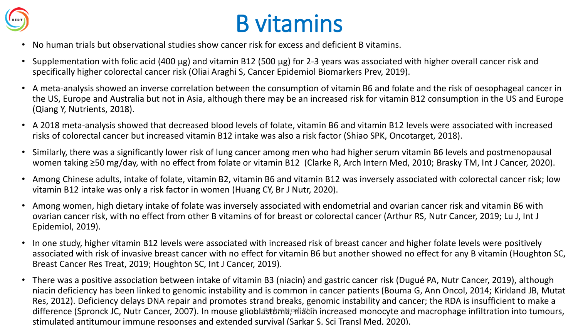

### B vitamins

- No human trials but observational studies show cancer risk for excess and deficient B vitamins.
- Supplementation with folic acid (400 μg) and vitamin B12 (500 μg) for 2-3 years was associated with higher overall cancer risk and specifically higher colorectal cancer risk (Oliai Araghi S, Cancer Epidemiol Biomarkers Prev, 2019).
- A meta-analysis showed an inverse correlation between the consumption of vitamin B6 and folate and the risk of oesophageal cancer in the US, Europe and Australia but not in Asia, although there may be an increased risk for vitamin B12 consumption in the US and Europe (Qiang Y, Nutrients, 2018).
- A 2018 meta-analysis showed that decreased blood levels of folate, vitamin B6 and vitamin B12 levels were associated with increased risks of colorectal cancer but increased vitamin B12 intake was also a risk factor (Shiao SPK, Oncotarget, 2018).
- Similarly, there was a significantly lower risk of lung cancer among men who had higher serum vitamin B6 levels and postmenopausal women taking ≥50 mg/day, with no effect from folate or vitamin B12 (Clarke R, Arch Intern Med, 2010; Brasky TM, Int J Cancer, 2020).
- Among Chinese adults, intake of folate, vitamin B2, vitamin B6 and vitamin B12 was inversely associated with colorectal cancer risk; low vitamin B12 intake was only a risk factor in women (Huang CY, Br J Nutr, 2020).
- Among women, high dietary intake of folate was inversely associated with endometrial and ovarian cancer risk and vitamin B6 with ovarian cancer risk, with no effect from other B vitamins of for breast or colorectal cancer (Arthur RS, Nutr Cancer, 2019; Lu J, Int J Epidemiol, 2019).
- In one study, higher vitamin B12 levels were associated with increased risk of breast cancer and higher folate levels were positively associated with risk of invasive breast cancer with no effect for vitamin B6 but another showed no effect for any B vitamin (Houghton SC, Breast Cancer Res Treat, 2019; Houghton SC, Int J Cancer, 2019).
- There was a positive association between intake of vitamin B3 (niacin) and gastric cancer risk (Dugué PA, Nutr Cancer, 2019), although niacin deficiency has been linked to genomic instability and is common in cancer patients (Bouma G, Ann Oncol, 2014; Kirkland JB, Mutat Res, 2012). Deficiency delays DNA repair and promotes strand breaks, genomic instability and cancer; the RDA is insufficient to make a difference (Spronck JC, Nutr Cancer, 2007). In mouse glioblastoma) niach increased monocyte and macrophage infiltration into tumours, stimulated antitumour immune responses and extended survival (Sarkar S, Sci Transl Med, 2020).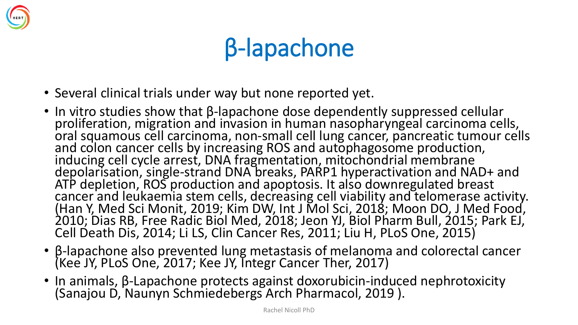

# β-lapachone

- Several clinical trials under way but none reported yet.
- In vitro studies show that β-lapachone dose dependently suppressed cellular proliferation, migration and invasion in human nasopharyngeal carcinoma cells, oral squamous cell carcinoma, non-small cell lung cancer, pancreatic tumour cells and colon cancer cells by increasing ROS and autophagosome production, inducing cell cycle arrest, DNA fragmentation, mitochondrial membrane depolarisation, single-strand DNA breaks, PARP1 hyperactivation and NAD+ and ATP depletion, ROS production and apoptosis. It also downregulated breast cancer and leukaemia stem cells, decreasing cell viability and telomerase activity. (Han Y, Med Sci Monit, 2019; Kim DW, Int J Mol Sci, 2018; Moon DO, J Med Food, 2010; Dias RB, Free Radic Biol Med, 2018; Jeon YJ, Biol Pharm Bull, 2015; Park EJ, Cell Death Dis, 2014; Li LS, Clin Cancer Res, 2011; Liu H, PLoS One, 2015)
- β-lapachone also prevented lung metastasis of melanoma and colorectal cancer (Kee JY, PLoS One, 2017; Kee JY, Integr Cancer Ther, 2017)
- In animals, β-Lapachone protects against doxorubicin-induced nephrotoxicity (Sanajou D, Naunyn Schmiedebergs Arch Pharmacol, 2019 ).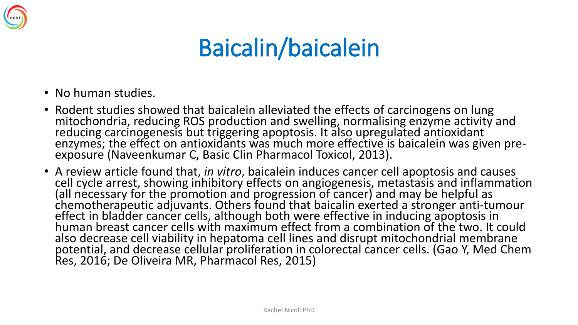

### Baicalin/baicalein

- No human studies.
- Rodent studies showed that baicalein alleviated the effects of carcinogens on lung mitochondria, reducing ROS production and swelling, normalising enzyme activity and reducing carcinogenesis but triggering apoptosis. It also upregulated antioxidant enzymes; the effect on antioxidants was much more effective is baicalein was given preexposure (Naveenkumar C, Basic Clin Pharmacol Toxicol, 2013).
- A review article found that, *in vitro*, baicalein induces cancer cell apoptosis and causes cell cycle arrest, showing inhibitory effects on angiogenesis, metastasis and inflammation (all necessary for the promotion and progression of cancer) and may be helpful as chemotherapeutic adjuvants. Others found that baicalin exerted a stronger anti-tumour effect in bladder cancer cells, although both were effective in inducing apoptosis in human breast cancer cells with maximum effect from a combination of the two. It could also decrease cell viability in hepatoma cell lines and disrupt mitochondrial membrane potential, and decrease cellular proliferation in colorectal cancer cells. (Gao Y, Med Chem Res, 2016; De Oliveira MR, Pharmacol Res, 2015)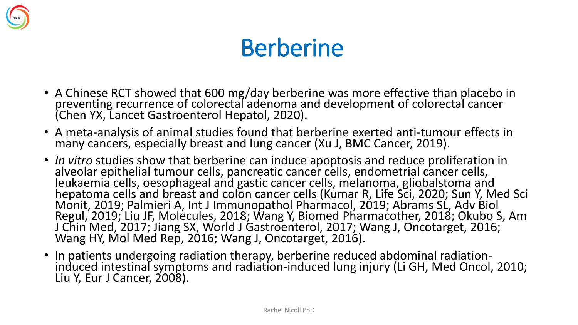

#### Berberine

- A Chinese RCT showed that 600 mg/day berberine was more effective than placebo in preventing recurrence of colorectal adenoma and development of colorectal cancer (Chen YX, Lancet Gastroenterol Hepatol, 2020).
- A meta-analysis of animal studies found that berberine exerted anti-tumour effects in many cancers, especially breast and lung cancer (Xu J, BMC Cancer, 2019).
- *In vitro* studies show that berberine can induce apoptosis and reduce proliferation in alveolar epithelial tumour cells, pancreatic cancer cells, endometrial cancer cells, leukaemia cells, oesophageal and gastic cancer cells, melanoma, gliobalstoma and hepatoma cells and breast and colon cancer cells (Kumar R, Life Sci, 2020; Sun Y, Med Sci Monit, 2019; Palmieri A, Int J Immunopathol Pharmacol, 2019; Abrams SL, Adv Biol Regul, 2019; Liu JF, Molecules, 2018; Wang Y, Biomed Pharmacother, 2018; Okubo S, Am J Chin Med, 2017; Jiang SX, World J Gastroenterol, 2017; Wang J, Oncotarget, 2016; Wang HY, Mol Med Rep, 2016; Wang J, Oncotarget, 2016).
- In patients undergoing radiation therapy, berberine reduced abdominal radiationinduced intestinal symptoms and radiation-induced lung injury (Li GH, Med Oncol, 2010; Liu Y, Eur J Cancer, 2008).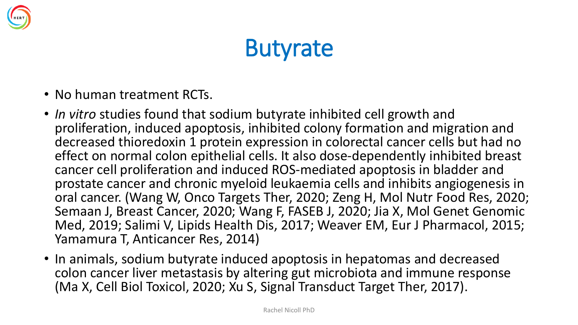

### **Butyrate**

- No human treatment RCTs.
- *In vitro* studies found that sodium butyrate inhibited cell growth and proliferation, induced apoptosis, inhibited colony formation and migration and decreased thioredoxin 1 protein expression in colorectal cancer cells but had no effect on normal colon epithelial cells. It also dose-dependently inhibited breast cancer cell proliferation and induced ROS-mediated apoptosis in bladder and prostate cancer and chronic myeloid leukaemia cells and inhibits angiogenesis in oral cancer. (Wang W, Onco Targets Ther, 2020; Zeng H, Mol Nutr Food Res, 2020; Semaan J, Breast Cancer, 2020; Wang F, FASEB J, 2020; Jia X, Mol Genet Genomic Med, 2019; Salimi V, Lipids Health Dis, 2017; Weaver EM, Eur J Pharmacol, 2015; Yamamura T, Anticancer Res, 2014)
- In animals, sodium butyrate induced apoptosis in hepatomas and decreased colon cancer liver metastasis by altering gut microbiota and immune response (Ma X, Cell Biol Toxicol, 2020; Xu S, Signal Transduct Target Ther, 2017).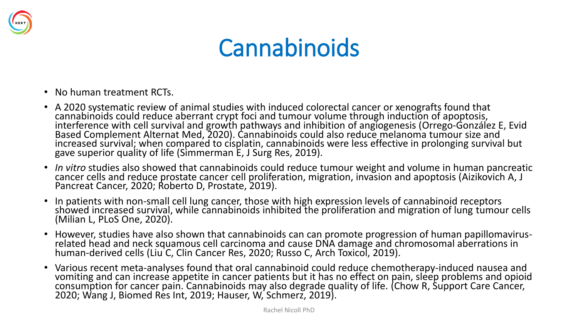

### Cannabinoids

- No human treatment RCTs.
- A 2020 systematic review of animal studies with induced colorectal cancer or xenografts found that cannabinoids could reduce aberrant crypt foci and tumour volume through induction of apoptosis, interference with cell survival and growth pathways and inhibition of angiogenesis (Orrego-González E, Evid Based Complement Alternat Med, 2020). Cannabinoids could also reduce melanoma tumour size and increased survival; when compared to cisplatin, cannabinoids were less effective in prolonging survival but gave superior quality of life (Simmerman E, J Surg Res, 2019).
- *In vitro* studies also showed that cannabinoids could reduce tumour weight and volume in human pancreatic cancer cells and reduce prostate cancer cell proliferation, migration, invasion and apoptosis (Aizikovich A, J Pancreat Cancer, 2020; Roberto D, Prostate, 2019).
- In patients with non-small cell lung cancer, those with high expression levels of cannabinoid receptors showed increased survival, while cannabinoids inhibited the proliferation and migration of lung tumour cells (Milian L, PLoS One, 2020).
- However, studies have also shown that cannabinoids can can promote progression of human papillomavirusrelated head and neck squamous cell carcinoma and cause DNA damage and chromosomal aberrations in human-derived cells (Liu<sup>'</sup>C, Clin Cancer Res, 2020; Russo C, Arch Toxicol, 2019).
- Various recent meta-analyses found that oral cannabinoid could reduce chemotherapy-induced nausea and vomiting and can increase appetite in cancer patients but it has no effect on pain, sleep problems and opioid consumption for cancer pain. Cannabinoids may also degrade quality of life. (Chow R, Support Care Cancer, 2020; Wang J, Biomed Res Int, 2019; Hauser, W, Schmerz, 2019).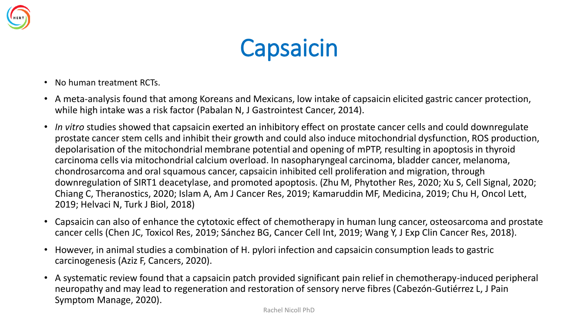



- No human treatment RCTs.
- A meta-analysis found that among Koreans and Mexicans, low intake of capsaicin elicited gastric cancer protection, while high intake was a risk factor (Pabalan N, J Gastrointest Cancer, 2014).
- *In vitro* studies showed that capsaicin exerted an inhibitory effect on prostate cancer cells and could downregulate prostate cancer stem cells and inhibit their growth and could also induce mitochondrial dysfunction, ROS production, depolarisation of the mitochondrial membrane potential and opening of mPTP, resulting in apoptosis in thyroid carcinoma cells via mitochondrial calcium overload. In nasopharyngeal carcinoma, bladder cancer, melanoma, chondrosarcoma and oral squamous cancer, capsaicin inhibited cell proliferation and migration, through downregulation of SIRT1 deacetylase, and promoted apoptosis. (Zhu M, Phytother Res, 2020; Xu S, Cell Signal, 2020; Chiang C, Theranostics, 2020; Islam A, Am J Cancer Res, 2019; Kamaruddin MF, Medicina, 2019; Chu H, Oncol Lett, 2019; Helvaci N, Turk J Biol, 2018)
- Capsaicin can also of enhance the cytotoxic effect of chemotherapy in human lung cancer, osteosarcoma and prostate cancer cells (Chen JC, Toxicol Res, 2019; Sánchez BG, Cancer Cell Int, 2019; Wang Y, J Exp Clin Cancer Res, 2018).
- However, in animal studies a combination of H. pylori infection and capsaicin consumption leads to gastric carcinogenesis (Aziz F, Cancers, 2020).
- A systematic review found that a capsaicin patch provided significant pain relief in chemotherapy-induced peripheral neuropathy and may lead to regeneration and restoration of sensory nerve fibres (Cabezón-Gutiérrez L, J Pain Symptom Manage, 2020).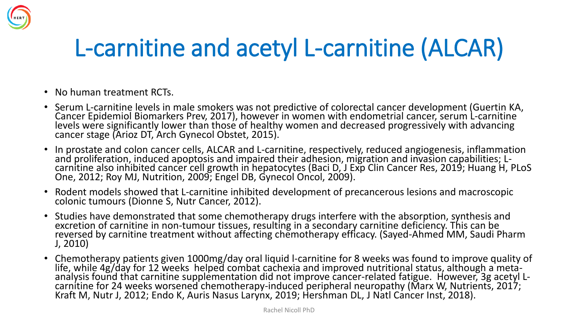

### L-carnitine and acetyl L-carnitine (ALCAR)

- No human treatment RCTs.
- Serum L-carnitine levels in male smokers was not predictive of colorectal cancer development (Guertin KA, Cancer Epidemiol Biomarkers Prev, 2017), however in women with endometrial cancer, serum L-carnitine levels were significantly lower than those of healthy women and decreased progressively with advancing cancer stage (Arioz DT, Arch Gynecol Obstet, 2015).
- In prostate and colon cancer cells, ALCAR and L-carnitine, respectively, reduced angiogenesis, inflammation and proliferation, induced apoptosis and impaired their adhesion, migration and invasion capabilities; Lcarnitine also inhibited cancer cell growth in hepatocytes (Baci D, J Exp Clin Cancer Res, 2019; Huang H, PLoS One, 2012; Roy MJ, Nutrition, 2009; Engel DB, Gynecol Oncol, 2009).
- Rodent models showed that L-carnitine inhibited development of precancerous lesions and macroscopic colonic tumours (Dionne S, Nutr Cancer, 2012).
- Studies have demonstrated that some chemotherapy drugs interfere with the absorption, synthesis and excretion of carnitine in non-tumour tissues, resulting in a secondary carnitine deficiency. This can be reversed by carnitine treatment without affecting chemotherapy efficacy. (Sayed-Ahmed MM, Saudi Pharm J, 2010)
- Chemotherapy patients given 1000mg/day oral liquid l-carnitine for 8 weeks was found to improve quality of life, while 4g/day for 12 weeks helped combat cachexia and improved nutritional status, although a metaanalysis found that carnitine supplementation did not improve cancer-related fatigue. However, 3g acetyl Lcarnitine for 24 weeks worsened chemotherapy-induced peripheral neuropathy (Marx W, Nutrients, 2017; Kraft M, Nutr J, 2012; Endo K, Auris Nasus Larynx, 2019; Hershman DL, J Natl Cancer Inst, 2018).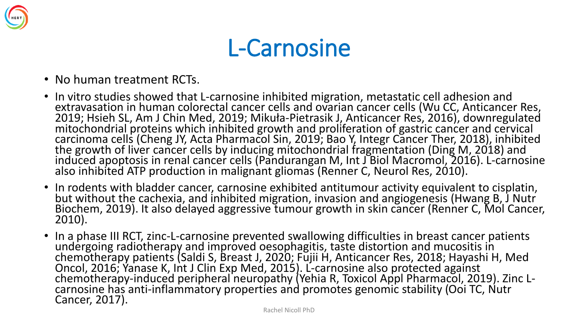

#### L-Carnosine

- No human treatment RCTs.
- In vitro studies showed that L-carnosine inhibited migration, metastatic cell adhesion and extravasation in human colorectal cancer cells and ovarian cancer cells (Wu CC, Anticancer Res, 2019; Hsieh SL, Am J Chin Med, 2019; Mikuła-Pietrasik J, Anticancer Res, 2016), downregulated mitochondrial proteins which inhibited growth and proliferation of gastric cancer and cervical carcinoma cells (Cheng JY, Acta Pharmacol Sin, 2019; Bao Y, Integr Cancer Ther, 2018), inhibited the growth of liver cancer cells by inducing mitochondrial fragmentation (Ding M, 2018) and induced apoptosis in renal cancer cells (Pandurangan M, Int J Biol Macromol, 2016). L-carnosine also inhibited ATP production in malignant gliomas (Renner C, Neurol Res, 2010).
- In rodents with bladder cancer, carnosine exhibited antitumour activity equivalent to cisplatin, but without the cachexia, and inhibited migration, invasion and angiogenesis (Hwang B, J Nutr Biochem, 2019). It also delayed aggressive tumour growth in skin cancer (Renner C, Mol Cancer, 2010).
- In a phase III RCT, zinc-L-carnosine prevented swallowing difficulties in breast cancer patients undergoing radiotherapy and improved oesophagitis, taste distortion and mucositis in chemotherapy patients (Saldi S, Breast J, 2020; Fŭjii H, Anticancer Res, 2018; Hayashi H, Med Oncol, 2016; Yanase K, Int J Clin Exp Med, 2015). L-carnosine also protected against chemotherapy-induced peripheral neuropathy (Yehia R, Toxicol Appl Pharmacol, 2019). Zinc Lcarnosine has anti-inflammatory properties and promotes genomic stability (Ooi TC, Nutr Cancer, 2017).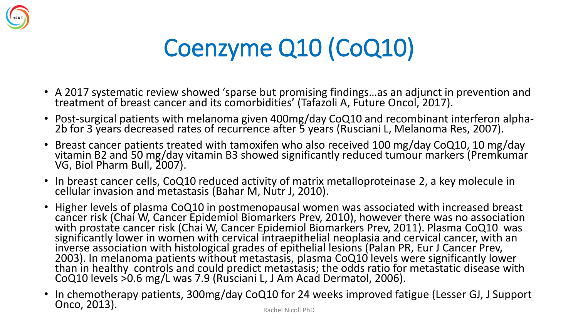

# Coenzyme Q10 (CoQ10)

- A 2017 systematic review showed 'sparse but promising findings…as an adjunct in prevention and treatment of breast cancer and its comorbidities' (Tafazoli A, Future Oncol, 2017).
- Post-surgical patients with melanoma given 400mg/day CoQ10 and recombinant interferon alpha-2b for 3 years decreased rates of recurrence after 5 years (Rusciani L, Melanoma Res, 2007).
- Breast cancer patients treated with tamoxifen who also received 100 mg/day CoQ10, 10 mg/day vitamin B2 and 50 mg/day vitamin B3 showed significantly reduced tumour markers (Premkumar VG, Biol Pharm Bull, 2007).
- In breast cancer cells, CoQ10 reduced activity of matrix metalloproteinase 2, a key molecule in cellular invasion and metastasis (Bahar M, Nutr J, 2010).
- Higher levels of plasma CoQ10 in postmenopausal women was associated with increased breast cancer risk (Chai W, Cancer Epidemiol Biomarkers Prev, 2010), however there was no association with prostate cancer risk (Chai W, Cancer Epidemiol Biomarkers Prev, 2011). Plasma CoQ10 was significantly lower in women with cervical intraepithelial neoplasia and cervical cancer, with an inverse association with histological grades of epithelial lesions (Palan PR, Eur J Cancer Prev, 2003). In melanoma patients without metastasis, plasma CoQ10 levels were significantly lower than in healthy controls and could predict metastasis; the odds ratio for metastatic disease with CoQ10 levels >0.6 mg/L was 7.9 (Rusciani L, J Am Acad Dermatol, 2006).
- In chemotherapy patients, 300mg/day CoQ10 for 24 weeks improved fatigue (Lesser GJ, J Support **Onco, 2013).** The contract of the contract of the Rachel Nicoll PhD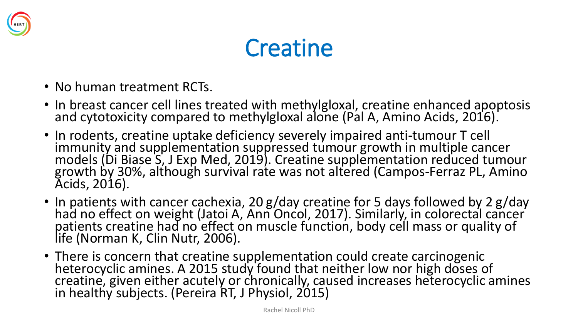

### **Creatine**

- No human treatment RCTs.
- In breast cancer cell lines treated with methylgloxal, creatine enhanced apoptosis and cytotoxicity compared to methylgloxal alone (Pal A, Amino Acids, 2016).
- In rodents, creatine uptake deficiency severely impaired anti-tumour T cell immunity and supplementation suppressed tumour growth in multiple cancer models (Di Biase S, J Exp Med, 2019). Creatine supplementation reduced tumour growth by 30%, although survival rate was not altered (Campos-Ferraz PL, Amino Acids, 2016).
- In patients with cancer cachexia, 20 g/day creatine for 5 days followed by 2 g/day had no effect on weight (Jatoi A, Ann Oncol, 2017). Similarly, in colorectal cancer patients creatine had no effect on muscle function, body cell mass or quality of life (Norman K, Clin Nutr, 2006).
- There is concern that creatine supplementation could create carcinogenic heterocyclic amines. A 2015 study found that neither low nor high doses of creatine, given either acutely or chronically, caused increases heterocyclic amines in healthy subjects. (Pereira RT, J Physiol, 2015)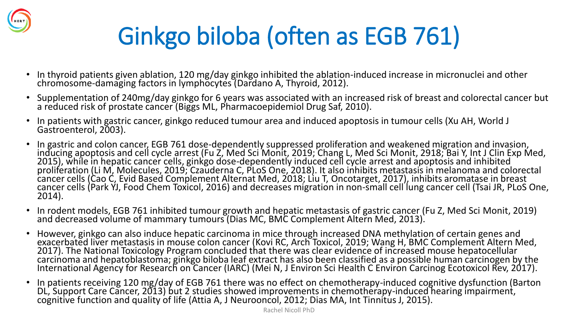

# Ginkgo biloba (often as EGB 761)

- In thyroid patients given ablation, 120 mg/day ginkgo inhibited the ablation-induced increase in micronuclei and other chromosome-damaging factors in lymphocytes (Dardano A, Thyroid, 2012).
- Supplementation of 240mg/day ginkgo for 6 years was associated with an increased risk of breast and colorectal cancer but a reduced risk of prostate cancer (Biggs ML, Pharmacoepidemiol Drug Saf, 2010).
- In patients with gastric cancer, ginkgo reduced tumour area and induced apoptosis in tumour cells (Xu AH, World J Gastroenterol, 2003).
- In gastric and colon cancer, EGB 761 dose-dependently suppressed proliferation and weakened migration and invasion, inducing apoptosis and cell cycle arrest (Fu Z, Med Sci Monit, 2019; Chang L, Med Sci Monit, 2918; Bai Y, Int J Clin Exp Med, 2015), while in hepatic cancer cells, ginkgo dose-dependently induced cell cycle arrest and apoptosis and inhibited proliferation (Li M, Molecules, 2019; Czauderna C, PLoS One, 2018). It also inhibits metastasis in melanoma and colorectal cancer cells (Cao C, Evid Based Complement Alternat Med, 2018; Liu T, Oncotarget, 2017), inhibits aromatase in breast cancer cells (Park YJ, Food Chem Toxicol, 2016) and decreases migration in non-small cell lung cancer cell (Tsai JR, PLoS One, 2014).
- In rodent models, EGB 761 inhibited tumour growth and hepatic metastasis of gastric cancer (Fu Z, Med Sci Monit, 2019) and decreased volume of mammary tumours (Dias MC, BMC Complement Altern Med, 2013).
- However, ginkgo can also induce hepatic carcinoma in mice through increased DNA methylation of certain genes and exacerbated liver metastasis in mouse colon cancer (Kovi RC, Arch Toxicol, 2019; Wang H, BMC Complement Altern Med, 2017). The National Toxicology Program concluded that there was clear evidence of increased mouse hepatocellular carcinoma and hepatoblastoma; ginkgo biloba leaf extract has also been classified as a possible human carcinogen by the International Agency for Research on Cancer (IARC) (Mei N, J Environ Sci Health C Environ Carcinog Ecotoxicol Rev, 2017).
- In patients receiving 120 mg/day of EGB 761 there was no effect on chemotherapy-induced cognitive dysfunction (Barton DL, Support Care Cancer, 2013) but 2 studies showed improvements in chemotherapy-induced hearing impairment, cognitive function and quality of life (Attia A, J Neurooncol, 2012; Dias MA, Int Tinnitus J, 2015).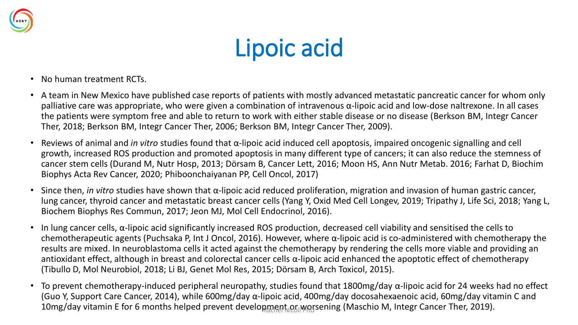

# Lipoic acid

- No human treatment RCTs.
- A team in New Mexico have published case reports of patients with mostly advanced metastatic pancreatic cancer for whom only palliative care was appropriate, who were given a combination of intravenous α-lipoic acid and low-dose naltrexone. In all cases the patients were symptom free and able to return to work with either stable disease or no disease (Berkson BM, Integr Cancer Ther, 2018; Berkson BM, Integr Cancer Ther, 2006; Berkson BM, Integr Cancer Ther, 2009).
- Reviews of animal and *in vitro* studies found that α-lipoic acid induced cell apoptosis, impaired oncogenic signalling and cell growth, increased ROS production and promoted apoptosis in many different type of cancers; it can also reduce the stemness of cancer stem cells (Durand M, Nutr Hosp, 2013; Dörsam B, Cancer Lett, 2016; Moon HS, Ann Nutr Metab. 2016; Farhat D, Biochim Biophys Acta Rev Cancer, 2020; Phiboonchaiyanan PP, Cell Oncol, 2017)
- Since then, *in vitro* studies have shown that α-lipoic acid reduced proliferation, migration and invasion of human gastric cancer, lung cancer, thyroid cancer and metastatic breast cancer cells (Yang Y, Oxid Med Cell Longev, 2019; Tripathy J, Life Sci, 2018; Yang L, Biochem Biophys Res Commun, 2017; Jeon MJ, Mol Cell Endocrinol, 2016).
- In lung cancer cells, α-lipoic acid significantly increased ROS production, decreased cell viability and sensitised the cells to chemotherapeutic agents (Puchsaka P, Int J Oncol, 2016). However, where α-lipoic acid is co-administered with chemotherapy the results are mixed. In neuroblastoma cells it acted against the chemotherapy by rendering the cells more viable and providing an antioxidant effect, although in breast and colorectal cancer cells  $\alpha$ -lipoic acid enhanced the apoptotic effect of chemotherapy (Tibullo D, Mol Neurobiol, 2018; Li BJ, Genet Mol Res, 2015; Dörsam B, Arch Toxicol, 2015).
- To prevent chemotherapy-induced peripheral neuropathy, studies found that 1800mg/day  $\alpha$ -lipoic acid for 24 weeks had no effect (Guo Y, Support Care Cancer, 2014), while 600mg/day α-lipoic acid, 400mg/day docosahexaenoic acid, 60mg/day vitamin C and 10mg/day vitamin E for 6 months helped prevent development or worsening (Maschio M, Integr Cancer Ther, 2019).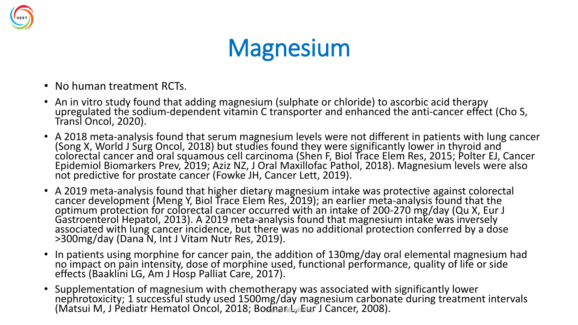

### **Magnesium**

- No human treatment RCTs.
- An in vitro study found that adding magnesium (sulphate or chloride) to ascorbic acid therapy upregulated the sodium-dependent vitamin C transporter and enhanced the anti-cancer effect (Cho S, Transl Oncol, 2020).
- A 2018 meta-analysis found that serum magnesium levels were not different in patients with lung cancer (Song X, World J Surg Oncol, 2018) but studies found they were significantly lower in thyroid and colorectal cancer and oral squamous cell carcinoma (Shen F, Biol Trace Elem Res, 2015; Polter EJ, Cancer Epidemiol Biomarkers Prev, 2019; Aziz NZ, J Oral Maxillofac Pathol, 2018). Magnesium levels were also not predictive for prostate cancer (Fowke JH, Cancer Lett, 2019).
- A 2019 meta-analysis found that higher dietary magnesium intake was protective against colorectal cancer development (Meng Y, Biol Trace Elem Res, 2019); an earlier meta-analysis found that the optimum protection for colorectal cancer occurred with an intake of 200-270 mg/day (Qu X, Eur J Gastroenterol Hepatol, 2013). A 2019 meta-analysis found that magnesium intake was inversely associated with lung cancer incidence, but there was no additional protection conferred by a dose >300mg/day (Dana N, Int J Vitam Nutr Res, 2019).
- In patients using morphine for cancer pain, the addition of 130mg/day oral elemental magnesium had no impact on pain intensity, dose of morphine used, functional performance, quality of life or side effects (Baaklini LG, Am J Hosp Palliat Care, 2017).
- Supplementation of magnesium with chemotherapy was associated with significantly lower nephrotoxicity; 1 successful study used 1500mg/day magnesium carbonate during treatment intervals (Matsui M, J Pediatr Hematol Oncol, 2018; Bodnarl Luft J Cancer, 2008).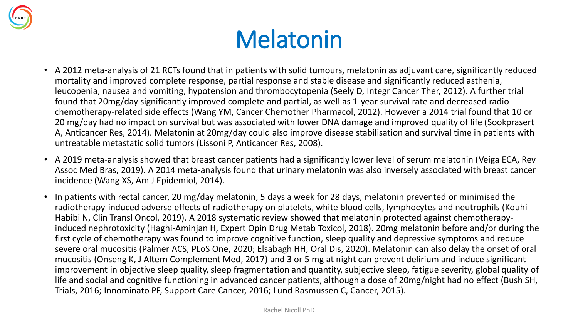

### Melatonin

- A 2012 meta-analysis of 21 RCTs found that in patients with solid tumours, melatonin as adjuvant care, significantly reduced mortality and improved complete response, partial response and stable disease and significantly reduced asthenia, leucopenia, nausea and vomiting, hypotension and thrombocytopenia (Seely D, Integr Cancer Ther, 2012). A further trial found that 20mg/day significantly improved complete and partial, as well as 1-year survival rate and decreased radiochemotherapy-related side effects (Wang YM, Cancer Chemother Pharmacol, 2012). However a 2014 trial found that 10 or 20 mg/day had no impact on survival but was associated with lower DNA damage and improved quality of life (Sookprasert A, Anticancer Res, 2014). Melatonin at 20mg/day could also improve disease stabilisation and survival time in patients with untreatable metastatic solid tumors (Lissoni P, Anticancer Res, 2008).
- A 2019 meta-analysis showed that breast cancer patients had a significantly lower level of serum melatonin (Veiga ECA, Rev Assoc Med Bras, 2019). A 2014 meta-analysis found that urinary melatonin was also inversely associated with breast cancer incidence (Wang XS, Am J Epidemiol, 2014).
- In patients with rectal cancer, 20 mg/day melatonin, 5 days a week for 28 days, melatonin prevented or minimised the radiotherapy-induced adverse effects of radiotherapy on platelets, white blood cells, lymphocytes and neutrophils (Kouhi Habibi N, Clin Transl Oncol, 2019). A 2018 systematic review showed that melatonin protected against chemotherapyinduced nephrotoxicity (Haghi-Aminjan H, Expert Opin Drug Metab Toxicol, 2018). 20mg melatonin before and/or during the first cycle of chemotherapy was found to improve cognitive function, sleep quality and depressive symptoms and reduce severe oral mucositis (Palmer ACS, PLoS One, 2020; Elsabagh HH, Oral Dis, 2020). Melatonin can also delay the onset of oral mucositis (Onseng K, J Altern Complement Med, 2017) and 3 or 5 mg at night can prevent delirium and induce significant improvement in objective sleep quality, sleep fragmentation and quantity, subjective sleep, fatigue severity, global quality of life and social and cognitive functioning in advanced cancer patients, although a dose of 20mg/night had no effect (Bush SH, Trials, 2016; Innominato PF, Support Care Cancer, 2016; Lund Rasmussen C, Cancer, 2015).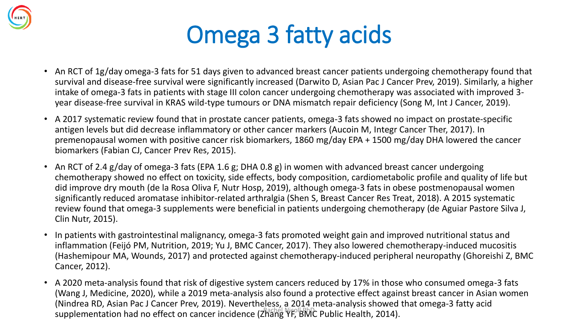

## Omega 3 fatty acids

- An RCT of 1g/day omega-3 fats for 51 days given to advanced breast cancer patients undergoing chemotherapy found that survival and disease-free survival were significantly increased (Darwito D, Asian Pac J Cancer Prev, 2019). Similarly, a higher intake of omega-3 fats in patients with stage III colon cancer undergoing chemotherapy was associated with improved 3 year disease-free survival in KRAS wild-type tumours or DNA mismatch repair deficiency (Song M, Int J Cancer, 2019).
- A 2017 systematic review found that in prostate cancer patients, omega-3 fats showed no impact on prostate-specific antigen levels but did decrease inflammatory or other cancer markers (Aucoin M, Integr Cancer Ther, 2017). In premenopausal women with positive cancer risk biomarkers, 1860 mg/day EPA + 1500 mg/day DHA lowered the cancer biomarkers (Fabian CJ, Cancer Prev Res, 2015).
- An RCT of 2.4 g/day of omega-3 fats (EPA 1.6 g; DHA 0.8 g) in women with advanced breast cancer undergoing chemotherapy showed no effect on toxicity, side effects, body composition, cardiometabolic profile and quality of life but did improve dry mouth (de la Rosa Oliva F, Nutr Hosp, 2019), although omega-3 fats in obese postmenopausal women significantly reduced aromatase inhibitor-related arthralgia (Shen S, Breast Cancer Res Treat, 2018). A 2015 systematic review found that omega-3 supplements were beneficial in patients undergoing chemotherapy (de Aguiar Pastore Silva J, Clin Nutr, 2015).
- In patients with gastrointestinal malignancy, omega-3 fats promoted weight gain and improved nutritional status and inflammation (Feijó PM, Nutrition, 2019; Yu J, BMC Cancer, 2017). They also lowered chemotherapy-induced mucositis (Hashemipour MA, Wounds, 2017) and protected against chemotherapy-induced peripheral neuropathy (Ghoreishi Z, BMC Cancer, 2012).
- A 2020 meta-analysis found that risk of digestive system cancers reduced by 17% in those who consumed omega-3 fats (Wang J, Medicine, 2020), while a 2019 meta-analysis also found a protective effect against breast cancer in Asian women (Nindrea RD, Asian Pac J Cancer Prev, 2019). Nevertheless, a 2014 meta-analysis showed that omega-3 fatty acid supplementation had no effect on cancer incidence (Zhang YF, BMC Public Health, 2014).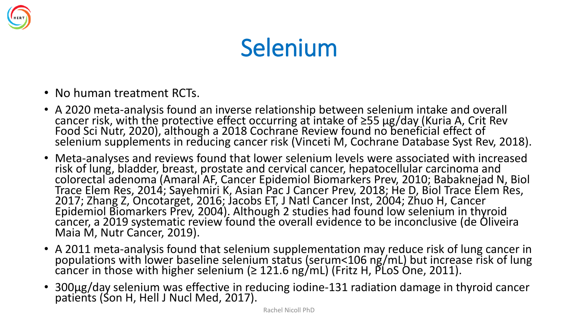

### Selenium

- No human treatment RCTs.
- A 2020 meta-analysis found an inverse relationship between selenium intake and overall cancer risk, with the protective effect occurring at intake of ≥55 μg/day (Kuria A, Crit Rev Food Sci Nutr, 2020), although a 2018 Cochrane Review found no beneficial effect of selenium supplements in reducing cancer risk (Vinceti M, Cochrane Database Syst Rev, 2018).
- Meta-analyses and reviews found that lower selenium levels were associated with increased risk of lung, bladder, breast, prostate and cervical cancer, hepatocellular carcinoma and colorectal adenoma (Amaral AF, Cancer Epidemiol Biomarkers Prev, 2010; Babaknejad N, Biol Trace Elem Res, 2014; Sayehmiri K, Asian Pac J Cancer Prev, 2018; He D, Biol Trace Elem Res, 2017; Zhang Z, Oncotarget, 2016; Jacobs ET, J Natl Cancer Inst, 2004; Zhuo H, Cancer Epidemiol Biomarkers Prev, 2004). Although 2 studies had found low selenium in thyroid cancer, a 2019 systematic review found the overall evidence to be inconclusive (de Oliveira Maia M, Nutr Cancer, 2019).
- A 2011 meta-analysis found that selenium supplementation may reduce risk of lung cancer in populations with lower baseline selenium status (serum<106 ng/mL) but increase risk of lung cancer in those with higher selenium (≥ 121.6 ng/mL) (Fritz H, PLoS One, 2011).
- 300μg/day selenium was effective in reducing iodine-131 radiation damage in thyroid cancer patients (Son H, Hell J Nucl Med, 2017).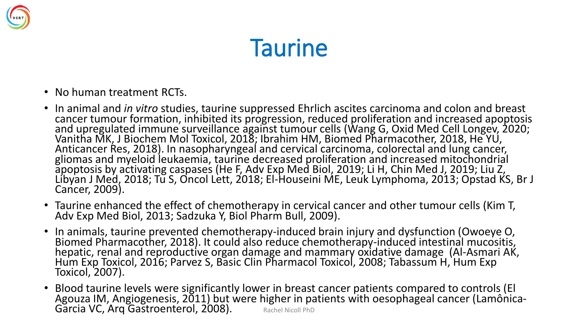

### **Taurine**

- No human treatment RCTs.
- In animal and *in vitro* studies, taurine suppressed Ehrlich ascites carcinoma and colon and breast cancer tumour formation, inhibited its progression, reduced proliferation and increased apoptosis and upregulated immune surveillance against tumour cells (Wang G, Oxid Med Cell Longev, 2020; Vanitha MK, J Biochem Mol Toxicol, 2018; Ibrahim HM, Biomed Pharmacother, 2018, He YU, Anticancer Res, 2018). In nasopharyngeal and cervical carcinoma, colorectal and lung cancer, gliomas and myeloid leukaemia, taurine decreased proliferation and increased mitochondrial apoptosis by activating caspases (He F, Adv Exp Med Biol, 2019; Li H, Chin Med J, 2019; Liu Z, Libyan J Med, 2018; Tu S, Oncol Lett, 2018; El-Houseini ME, Leuk Lymphoma, 2013; Opstad KS, Br J Cancer, 2009).
- Taurine enhanced the effect of chemotherapy in cervical cancer and other tumour cells (Kim T, Adv Exp Med Biol, 2013; Sadzuka Y, Biol Pharm Bull, 2009).
- In animals, taurine prevented chemotherapy-induced brain injury and dysfunction (Owoeye O, Biomed Pharmacother, 2018). It could also reduce chemotherapy-induced intestinal mucositis, hepatic, renal and reproductive organ damage and mammary oxidative damage (Al-Asmari AK, Hum Exp Toxicol, 2016; Parvez S, Basic Clin Pharmacol Toxicol, 2008; Tabassum H, Hum Exp Toxicol, 2007).
- Blood taurine levels were significantly lower in breast cancer patients compared to controls (El Agouza IM, Angiogenesis, 2011) but were higher in patients with oesophageal cancer (Lamônica-Garcia VC, Arq Gastroenterol, 2008). Rachel Nicoll PhD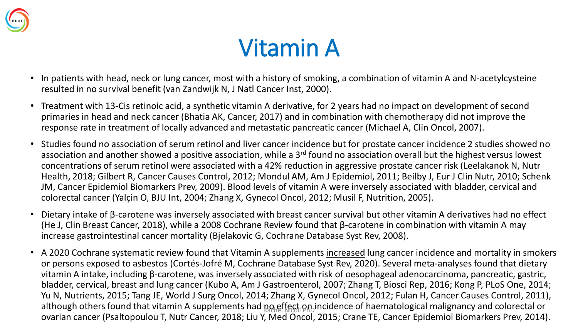

### Vitamin A

- In patients with head, neck or lung cancer, most with a history of smoking, a combination of vitamin A and N-acetylcysteine resulted in no survival benefit (van Zandwijk N, J Natl Cancer Inst, 2000).
- Treatment with 13-Cis retinoic acid, a synthetic vitamin A derivative, for 2 years had no impact on development of second primaries in head and neck cancer (Bhatia AK, Cancer, 2017) and in combination with chemotherapy did not improve the response rate in treatment of locally advanced and metastatic pancreatic cancer (Michael A, Clin Oncol, 2007).
- Studies found no association of serum retinol and liver cancer incidence but for prostate cancer incidence 2 studies showed no association and another showed a positive association, while a 3<sup>rd</sup> found no association overall but the highest versus lowest concentrations of serum retinol were associated with a 42% reduction in aggressive prostate cancer risk (Leelakanok N, Nutr Health, 2018; Gilbert R, Cancer Causes Control, 2012; Mondul AM, Am J Epidemiol, 2011; Beilby J, Eur J Clin Nutr, 2010; Schenk JM, Cancer Epidemiol Biomarkers Prev, 2009). Blood levels of vitamin A were inversely associated with bladder, cervical and colorectal cancer (Yalçin O, BJU Int, 2004; Zhang X, Gynecol Oncol, 2012; Musil F, Nutrition, 2005).
- Dietary intake of β-carotene was inversely associated with breast cancer survival but other vitamin A derivatives had no effect (He J, Clin Breast Cancer, 2018), while a 2008 Cochrane Review found that β-carotene in combination with vitamin A may increase gastrointestinal cancer mortality (Bjelakovic G, Cochrane Database Syst Rev, 2008).
- A 2020 Cochrane systematic review found that Vitamin A supplements increased lung cancer incidence and mortality in smokers or persons exposed to asbestos (Cortés-Jofré M, Cochrane Database Syst Rev, 2020). Several meta-analyses found that dietary vitamin A intake, including β-carotene, was inversely associated with risk of oesophageal adenocarcinoma, pancreatic, gastric, bladder, cervical, breast and lung cancer (Kubo A, Am J Gastroenterol, 2007; Zhang T, Biosci Rep, 2016; Kong P, PLoS One, 2014; Yu N, Nutrients, 2015; Tang JE, World J Surg Oncol, 2014; Zhang X, Gynecol Oncol, 2012; Fulan H, Cancer Causes Control, 2011), although others found that vitamin A supplements had no effect on incidence of haematological malignancy and colorectal or ovarian cancer (Psaltopoulou T, Nutr Cancer, 2018; Liu Y, Med Oncol, 2015; Crane TE, Cancer Epidemiol Biomarkers Prev, 2014).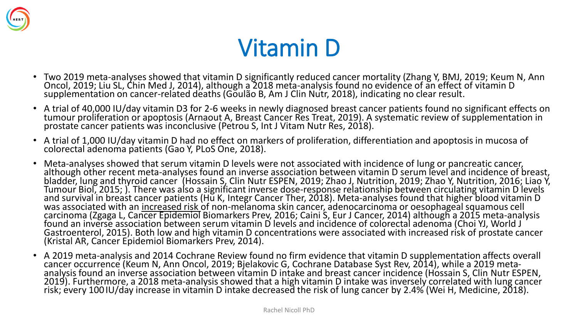

### Vitamin D

- Two 2019 meta-analyses showed that vitamin D significantly reduced cancer mortality (Zhang Y, BMJ, 2019; Keum N, Ann Oncol, 2019; Liu SL, Chin Med J, 2014), although a 2018 meta-analysis found no evidence of an effect of vitamin D supplementation on cancer-related deaths (Goulão B, Am J Clin Nutr, 2018), indicating no clear result.
- A trial of 40,000 IU/day vitamin D3 for 2-6 weeks in newly diagnosed breast cancer patients found no significant effects on tumour proliferation or apoptosis (Arnaout A, Breast Cancer Res Treat, 2019). A systematic review of supplementation in prostate cancer patients was inconclusive (Petrou S, Int J Vitam Nutr Res, 2018).
- A trial of 1,000 IU/day vitamin D had no effect on markers of proliferation, differentiation and apoptosis in mucosa of colorectal adenoma patients (Gao Y, PLoS One, 2018).
- Meta-analyses showed that serum vitamin D levels were not associated with incidence of lung or pancreatic cancer, although other recent meta-analyses found an inverse association between vitamin D serum level and incidence of breast, bladder, lung and thyroid cancer (Hossain S, Clin Nutr ESPEN, 2019; Zhao J, Nutrition, 2019; Zhao Y, Nutrition, 2016; Liao Y, Tumour Biol, 2015; ). There was also a significant inverse dose-response relationship between circulating vitamin D levels and survival in breast cancer patients (Hu K, Integr Cancer Ther, 2018). Meta-analyses found that higher blood vitamin D was associated with an increased risk of non-melanoma skin cancer, adenocarcinoma or oesophageal squamous cell carcinoma (Zgaga L, Cancer Epidemiol Biomarkers Prev, 2016; Caini S, Eur J Cancer, 2014) although a 2015 meta-analysis found an inverse association between serum vitamin D levels and incidence of colorectal adenoma (Choi YJ, World J Gastroenterol, 2015). Both low and high vitamin D concentrations were associated with increased risk of prostate cancer (Kristal AR, Cancer Epidemiol Biomarkers Prev, 2014).
- A 2019 meta-analysis and 2014 Cochrane Review found no firm evidence that vitamin D supplementation affects overall cancer occurrence (Keum N, Ann Oncol, 2019; Bjelakovic G, Cochrane Database Syst Rev, 2014), while a 2019 metaanalysis found an inverse association between vitamin D intake and breast cancer incidence (Hossain S, Clin Nutr ESPEN, 2019). Furthermore, a 2018 meta-analysis showed that a high vitamin D intake was inversely correlated with lung cancer risk; every 100 IU/day increase in vitamin D intake decreased the risk of lung cancer by 2.4% (Wei H, Medicine, 2018).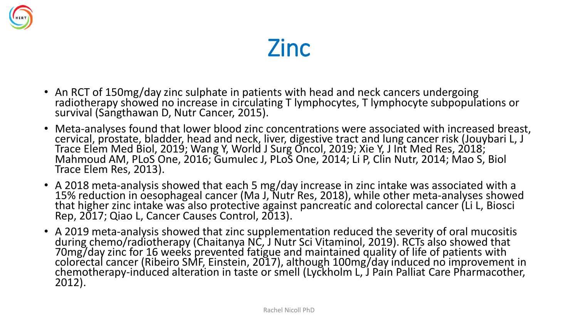



- An RCT of 150mg/day zinc sulphate in patients with head and neck cancers undergoing radiotherapy showed no increase in circulating T lymphocytes, T lymphocyte subpopulations or survival (Sangthawan D, Nutr Cancer, 2015).
- Meta-analyses found that lower blood zinc concentrations were associated with increased breast, cervical, prostate, bladder, head and neck, liver, digestive tract and lung cancer risk (Jouybari L, J Trace Elem Med Biol, 2019; Wang Y, World J Surg Oncol, 2019; Xie Y, J Int Med Res, 2018; Mahmoud AM, PLoS One, 2016; Gumulec J, PLoS One, 2014; Li P, Clin Nutr, 2014; Mao S, Biol Trace Elem Res, 2013).
- A 2018 meta-analysis showed that each 5 mg/day increase in zinc intake was associated with a 15% reduction in oesophageal cancer (Ma J, Nutr Res, 2018), while other meta-analyses showed that higher zinc intake was also protective against pancreatic and colorectal cancer (Li L, Biosci Rep, 2017; Qiao L, Cancer Causes Control, 2013).
- A 2019 meta-analysis showed that zinc supplementation reduced the severity of oral mucositis during chemo/radiotherapy (Chaitanya NC, J Nutr Sci Vitaminol, 2019). RCTs also showed that 70mg/day zinc for 16 weeks prevented fatigue and maintained quality of life of patients with colorectal cancer (Ribeiro SMF, Einstein, 2017), although 100mg/day induced no improvement in chemotherapy-induced alteration in taste or smell (Lyckholm L, J Pain Palliat Care Pharmacother, 2012).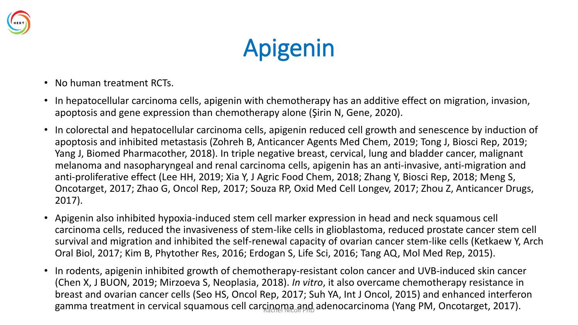

# Apigenin

- No human treatment RCTs.
- In hepatocellular carcinoma cells, apigenin with chemotherapy has an additive effect on migration, invasion, apoptosis and gene expression than chemotherapy alone (Şirin N, Gene, 2020).
- In colorectal and hepatocellular carcinoma cells, apigenin reduced cell growth and senescence by induction of apoptosis and inhibited metastasis (Zohreh B, Anticancer Agents Med Chem, 2019; Tong J, Biosci Rep, 2019; Yang J, Biomed Pharmacother, 2018). In triple negative breast, cervical, lung and bladder cancer, malignant melanoma and nasopharyngeal and renal carcinoma cells, apigenin has an anti-invasive, anti-migration and anti-proliferative effect (Lee HH, 2019; Xia Y, J Agric Food Chem, 2018; Zhang Y, Biosci Rep, 2018; Meng S, Oncotarget, 2017; Zhao G, Oncol Rep, 2017; Souza RP, Oxid Med Cell Longev, 2017; Zhou Z, Anticancer Drugs, 2017).
- Apigenin also inhibited hypoxia-induced stem cell marker expression in head and neck squamous cell carcinoma cells, reduced the invasiveness of stem-like cells in glioblastoma, reduced prostate cancer stem cell survival and migration and inhibited the self-renewal capacity of ovarian cancer stem-like cells (Ketkaew Y, Arch Oral Biol, 2017; Kim B, Phytother Res, 2016; Erdogan S, Life Sci, 2016; Tang AQ, Mol Med Rep, 2015).
- In rodents, apigenin inhibited growth of chemotherapy-resistant colon cancer and UVB-induced skin cancer (Chen X, J BUON, 2019; Mirzoeva S, Neoplasia, 2018). *In vitro*, it also overcame chemotherapy resistance in breast and ovarian cancer cells (Seo HS, Oncol Rep, 2017; Suh YA, Int J Oncol, 2015) and enhanced interferon gamma treatment in cervical squamous cell carcinoma and adenocarcinoma (Yang PM, Oncotarget, 2017).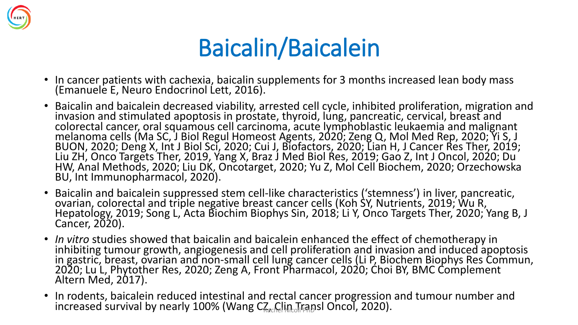

### Baicalin/Baicalein

- In cancer patients with cachexia, baicalin supplements for 3 months increased lean body mass (Emanuele E, Neuro Endocrinol Lett, 2016).
- Baicalin and baicalein decreased viability, arrested cell cycle, inhibited proliferation, migration and invasion and stimulated apoptosis in prostate, thyroid, lung, pancreatic, cervical, breast and colorectal cancer, oral squamous cell carcinoma, acute lymphoblastic leukaemia and malignant melanoma cells (Ma SC, J Biol Regul Homeost Agents, 2020; Zeng Q, Mol Med Rep, 2020; Yi S, J BUON, 2020; Deng X, Int J Biol Sci, 2020; Cui J, Biofactors, 2020; Lian H, J Cancer Res Ther, 2019; Liu ZH, Onco Targets Ther, 2019, Yang X, Braz J Med Biol Res, 2019; Gao Z, Int J Oncol, 2020; Du HW, Anal Methods, 2020; Liu DK, Oncotarget, 2020; Yu Z, Mol Cell Biochem, 2020; Orzechowska BU, Int Immunopharmacol, 2020).
- Baicalin and baicalein suppressed stem cell-like characteristics ('stemness') in liver, pancreatic, ovarian, colorectal and triple negative breast cancer cells (Koh SY, Nutrients, 2019; Wu R, Hepatology, 2019; Song L, Acta Biochim Biophys Sin, 2018; Li Y, Onco Targets Ther, 2020; Yang B, J Cancer, 2020).
- *In vitro* studies showed that baicalin and baicalein enhanced the effect of chemotherapy in inhibiting tumour growth, angiogenesis and cell proliferation and invasion and induced apoptosis in gastric, breast, ovarian and non-small cell lung cancer cells (Li P, Biochem Biophys Res Commun, 2020; Lu L, Phytother Res, 2020; Zeng A, Front Pharmacol, 2020; Choi BY, BMC Complement Altern Med, 2017).
- In rodents, baicalein reduced intestinal and rectal cancer progression and tumour number and increased survival by nearly 100% (Wang  $C_{\text{sec}}$ Clin Transl Oncol, 2020).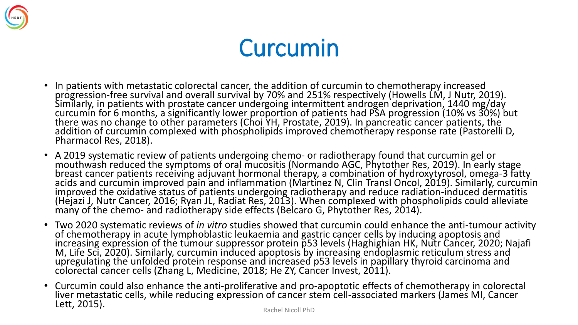

### Curcumin

- In patients with metastatic colorectal cancer, the addition of curcumin to chemotherapy increased progression-free survival and overall survival by 70% and 251% respectively (Howells LM, J Nutr, 2019). Similarly, in patients with prostate cancer undergoing intermittent androgen deprivation, 1440 mg/day curcumin for 6 months, a significantly lower proportion of patients had PSA progression (10% vs 30%) but there was no change to other parameters (Choi YH, Prostate, 2019). In pancreatic cancer patients, the addition of curcumin complexed with phospholipids improved chemotherapy response rate (Pastorelli D, Pharmacol Res, 2018).
- A 2019 systematic review of patients undergoing chemo- or radiotherapy found that curcumin gel or mouthwash reduced the symptoms of oral mucositis (Normando AGC, Phytother Res, 2019). In early stage breast cancer patients receiving adjuvant hormonal therapy, a combination of hydroxytyrosol, omega-3 fatty acids and curcumin improved pain and inflammation (Martinez N, Clin Transl Oncol, 2019). Similarly, curcumin improved the oxidative status of patients undergoing radiotherapy and reduce radiation-induced dermatitis (Hejazi J, Nutr Cancer, 2016; Ryan JL, Radiat Res, 2013). When complexed with phospholipids could alleviate many of the chemo- and radiotherapy side effects (Belcaro G, Phytother Res, 2014).
- Two 2020 systematic reviews of *in vitro* studies showed that curcumin could enhance the anti-tumour activity of chemotherapy in acute lymphoblastic leukaemia and gastric cancer cells by inducing apoptosis and increasing expression of the tumour suppressor protein p53 levels (Haghighian HK, Nutr Cancer, 2020; Najafi M, Life Sci, 2020). Similarly, curcumin induced apoptosis by increasing endoplasmic reticulum stress and upregulating the unfolded protein response and increased p53 levels in papillary thyroid carcinoma and colorectal cancer cells (Zhang L, Medicine, 2018; He ZY, Cancer Invest, 2011).
- Curcumin could also enhance the anti-proliferative and pro-apoptotic effects of chemotherapy in colorectal liver metastatic cells, while reducing expression of cancer stem cell-associated markers (James MI, Cancer Lett, 2015).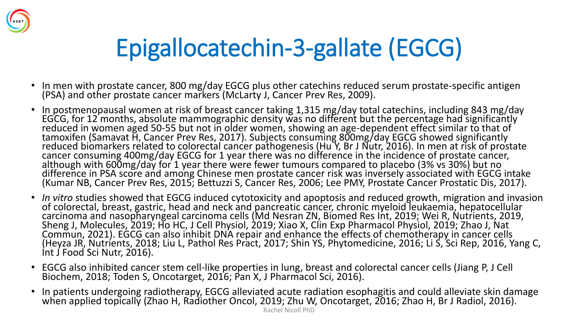

# Epigallocatechin-3-gallate (EGCG)

- In men with prostate cancer, 800 mg/day EGCG plus other catechins reduced serum prostate-specific antigen (PSA) and other prostate cancer markers (McLarty J, Cancer Prev Res, 2009).
- In postmenopausal women at risk of breast cancer taking 1,315 mg/day total catechins, including 843 mg/day EGCG, for 12 months, absolute mammographic density was no different but the percentage had significantly reduced in women aged 50-55 but not in older women, showing an age-dependent effect similar to that of tamoxifen (Samavat H, Cancer Prev Res, 2017). Subjects consuming 800mg/day EGCG showed significantly reduced biomarkers related to colorectal cancer pathogenesis (Hu Y, Br J Nutr, 2016). In men at risk of prostate cancer consuming 400mg/day EGCG for 1 year there was no difference in the incidence of prostate cancer, although with 600mg/day for 1 year there were fewer tumours compared to placebo (3% vs 30%) but no difference in PSA score and among Chinese men prostate cancer risk was inversely associated with EGCG intake (Kumar NB, Cancer Prev Res, 2015; Bettuzzi S, Cancer Res, 2006; Lee PMY, Prostate Cancer Prostatic Dis, 2017).
- *In vitro* studies showed that EGCG induced cytotoxicity and apoptosis and reduced growth, migration and invasion of colorectal, breast, gastric, head and neck and pancreatic cancer, chronic myeloid leukaemia, hepatocellular carcinoma and nasopharyngeal carcinoma cells (Md Nesran ZN, Biomed Res Int, 2019; Wei R, Nutrients, 2019, Sheng J, Molecules, 2019; Ho HC, J Cell Physiol, 2019; Xiao X, Clin Exp Pharmacol Physiol, 2019; Zhao J, Nat Commun, 2021). EGCG can also inhibit DNA repair and enhance the effects of chemotherapy in cancer cells (Heyza JR, Nutrients, 2018; Liu L, Pathol Res Pract, 2017; Shin YS, Phytomedicine, 2016; Li S, Sci Rep, 2016, Yang C, Int J Food Sci Nutr, 2016).
- EGCG also inhibited cancer stem cell-like properties in lung, breast and colorectal cancer cells (Jiang P, J Cell Biochem, 2018; Toden S, Oncotarget, 2016; Pan X, J Pharmacol Sci, 2016).
- In patients undergoing radiotherapy, EGCG alleviated acute radiation esophagitis and could alleviate skin damage when applied topically (Zhao H, Radiother Oncol, 2019; Zhu W, Oncotarget, 2016; Zhao H, Br J Radiol, 2016).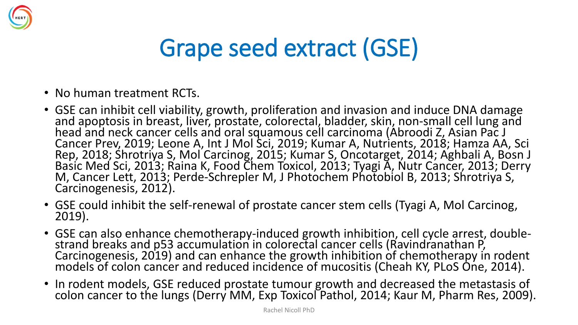

### Grape seed extract (GSE)

- No human treatment RCTs.
- GSE can inhibit cell viability, growth, proliferation and invasion and induce DNA damage and apoptosis in breast, liver, prostate, colorectal, bladder, skin, non-small cell lung and head and neck cancer cells and oral squamous cell carcinoma (Abroodi Z, Asian Pac J Cancer Prev, 2019; Leone A, Int J Mol Sci, 2019; Kumar A, Nutrients, 2018; Hamza AA, Sci Rep, 2018; Shrotriya S, Mol Carcinog, 2015; Kumar S, Oncotarget, 2014; Aghbali A, Bosn J Basic Med Sci, 2013; Raina K, Food Chem Toxicol, 2013; Tyagi A, Nutr Cancer, 2013; Derry M, Cancer Lett, 2013; Perde-Schrepler M, J Photochem Photobiol B, 2013; Shrotriya S, Carcinogenesis, 2012).
- GSE could inhibit the self-renewal of prostate cancer stem cells (Tyagi A, Mol Carcinog, 2019).
- GSE can also enhance chemotherapy-induced growth inhibition, cell cycle arrest, doublestrand breaks and p53 accumulation in colorectal cancer cells (Ravindranathan P, Carcinogenesis, 2019) and can enhance the growth inhibition of chemotherapy in rodent models of colon cancer and reduced incidence of mucositis (Cheah KY, PLoS One, 2014).
- In rodent models, GSE reduced prostate tumour growth and decreased the metastasis of colon cancer to the lungs (Derry MM, Exp Toxicol Pathol, 2014; Kaur M, Pharm Res, 2009).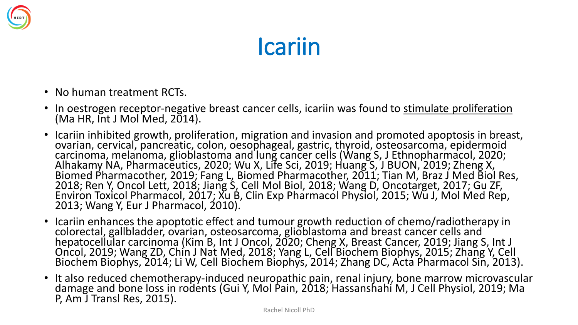

#### Icariin

- No human treatment RCTs.
- In oestrogen receptor-negative breast cancer cells, icariin was found to stimulate proliferation  $(Ma$  HR,  $Int J$  Mol Med,  $2014$ ).
- Icariin inhibited growth, proliferation, migration and invasion and promoted apoptosis in breast, ovarian, cervical, pancreatic, colon, oesophageal, gastric, thyroid, osteosarcoma, epidermoid carcinoma, melanoma, glioblastoma and lung cancer cells (Wang S, J Ethnopharmacol, 2020; Alhakamy NA, Pharmaceutics, 2020; Wu X, Life Sci, 2019; Huang S, J BUON, 2019; Zheng X, Biomed Pharmacother, 2019; Fang L, Biomed Pharmacother, 2011; Tian M, Braz J Med Biol Res, 2018; Ren Y, Oncol Lett, 2018; Jiang S, Cell Mol Biol, 2018; Wang D, Oncotarget, 2017; Gu ZF, Environ Toxicol Pharmacol, 2017; Xu B, Clin Exp Pharmacol Physiol, 2015; Wu J, Mol Med Rep, 2013; Wang Y, Eur J Pharmacol, 2010).
- Icariin enhances the apoptotic effect and tumour growth reduction of chemo/radiotherapy in colorectal, gallbladder, ovarian, osteosarcoma, glioblastoma and breast cancer cells and hepatocellular carcinoma (Kim B, Int J Oncol, 2020; Cheng X, Breast Cancer, 2019; Jiang S, Int J Oncol, 2019; Wang ZD, Chin J Nat Med, 2018; Yang L, Cell Biochem Biophys, 2015; Zhang Y, Cell Biochem Biophys, 2014; Li W, Cell Biochem Biophys, 2014; Zhang DC, Acta Pharmacol Sin, 2013).
- It also reduced chemotherapy-induced neuropathic pain, renal injury, bone marrow microvascular damage and bone loss in rodents (Gui Y, Mol Pain, 2018; Hassanshahi M, J Cell Physiol, 2019; Ma P, Am J Transl Res, 2015).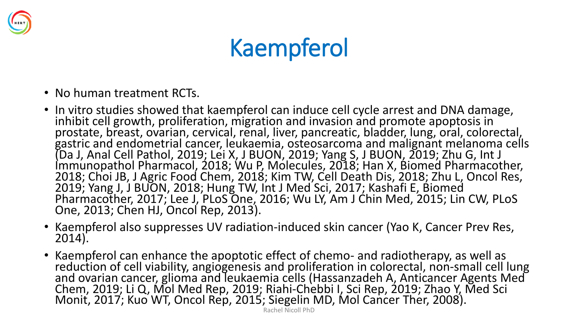

### Kaempferol

- No human treatment RCTs.
- In vitro studies showed that kaempferol can induce cell cycle arrest and DNA damage, inhibit cell growth, proliferation, migration and invasion and promote apoptosis in prostate, breast, ovarian, cervical, renal, liver, pancreatic, bladder, lung, oral, colorectal, gastric and endometrial cancer, leukaemia, osteosarcoma and malignant melanoma cells (Da J, Anal Cell Pathol, 2019; Lei X, J BUON, 2019; Yang S, J BUON, 2019; Zhu G, Int J Immunopathol Pharmacol, 2018; Wu P, Molecules, 2018; Han X, Biomed Pharmacother, 2018; Choi JB, J Agric Food Chem, 2018; Kim TW, Cell Death Dis, 2018; Zhu L, Oncol Res, 2019; Yang J, J BUON, 2018; Hung TW, Int J Med Sci, 2017; Kashafi E, Biomed Pharmacother, 2017; Lee J, PLoS One, 2016; Wu LY, Am J Chin Med, 2015; Lin CW, PLoS One, 2013; Chen HJ, Oncol Rep, 2013).
- Kaempferol also suppresses UV radiation-induced skin cancer (Yao K, Cancer Prev Res, 2014).
- Kaempferol can enhance the apoptotic effect of chemo- and radiotherapy, as well as reduction of cell viability, angiogenesis and proliferation in colorectal, non-small cell lung and ovarian cancer, glioma and leukaemia cells (Hassanzadeh A, Anticancer Agents Med Chem, 2019; Li Q, Mol Med Rep, 2019; Riahi-Chebbi I, Sci Rep, 2019; Zhao Y, Med Sci Monit, 2017; Kuo WT, Oncol Rep, 2015; Siegelin MD, Mol Cancer Ther, 2008).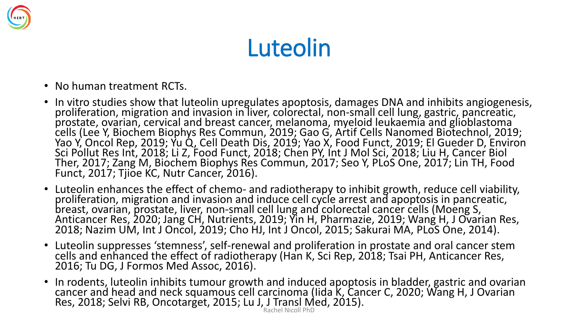

### Luteolin

- No human treatment RCTs.
- In vitro studies show that luteolin upregulates apoptosis, damages DNA and inhibits angiogenesis, proliferation, migration and invasion in liver, colorectal, non-small cell lung, gastric, pancreatic, prostate, ovarian, cervical and breast cancer, melanoma, myeloid leukaemia and glioblastoma cells (Lee Y, Biochem Biophys Res Commun, 2019; Gao G, Artif Cells Nanomed Biotechnol, 2019; Yao Y, Oncol Rep, 2019; Yu Q, Cell Death Dis, 2019; Yao X, Food Funct, 2019; El Gueder D, Environ Sci Pollut Res Int, 2018; Li Z, Food Funct, 2018; Chen PY, Int J Mol Sci, 2018; Liu H, Cancer Biol Ther, 2017; Zang M, Biochem Biophys Res Commun, 2017; Seo Y, PLoS One, 2017; Lin TH, Food Funct, 2017; Tjioe KC, Nutr Cancer, 2016).
- Luteolin enhances the effect of chemo- and radiotherapy to inhibit growth, reduce cell viability, proliferation, migration and invasion and induce cell cycle arrest and apoptosis in pancreatic, breast, ovarian, prostate, liver, non-small cell lung and colorectal cancer cells (Moeng S, Anticancer Res, 2020; Jang CH, Nutrients, 2019; Yin H, Pharmazie, 2019; Wang H, J Ovarian Res, 2018; Nazim UM, Int J Oncol, 2019; Cho HJ, Int J Oncol, 2015; Sakurai MA, PLoS One, 2014).
- Luteolin suppresses 'stemness', self-renewal and proliferation in prostate and oral cancer stem cells and enhanced the effect of radiotherapy (Han K, Sci Rep, 2018; Tsai PH, Anticancer Res, 2016; Tu DG, J Formos Med Assoc, 2016).
- In rodents, luteolin inhibits tumour growth and induced apoptosis in bladder, gastric and ovarian cancer and head and neck squamous cell carcinoma (Iida K, Cancer C, 2020; Wang H, J Ovarian Res, 2018; Selvi RB, Oncotarget, 2015; Lu J, J Transl Med, 2015). Rachel Nicoll PhD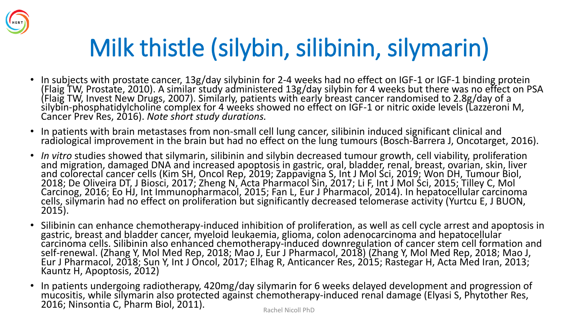

# Milk thistle (silybin, silibinin, silymarin)

- In subjects with prostate cancer, 13g/day silybinin for 2-4 weeks had no effect on IGF-1 or IGF-1 binding protein (Flaig TW, Prostate, 2010). A similar study administered 13g/day silybin for 4 weeks but there was no effect on PSA (Flaig TW, Invest New Drugs, 2007). Similarly, patients with early breast cancer randomised to 2.8g/day of a silybin-phosphatidylcholine complex for 4 weeks showed no effect on IGF-1 or nitric oxide levels (Lazzeroni M, Cancer Prev Res, 2016). *Note short study durations.*
- In patients with brain metastases from non-small cell lung cancer, silibinin induced significant clinical and radiological improvement in the brain but had no effect on the lung tumours (Bosch-Barrera J, Oncotarget, 2016).
- *In vitro* studies showed that silymarin, silibinin and silybin decreased tumour growth, cell viability, proliferation and migration, damaged DNA and increased apoptosis in gastric, oral, bladder, renal, breast, ovarian, skin, liver and colorectal cancer cells (Kim SH, Oncol Rep, 2019; Zappavigna S, Int J Mol Sci, 2019; Won DH, Tumour Biol, 2018; De Oliveira DT, J Biosci, 2017; Zheng N, Acta Pharmacol Sin, 2017; Li F, Int J Mol Sci, 2015; Tilley C, Mol Carcinog, 2016; Eo HJ, Int Immunopharmacol, 2015; Fan L, Eur J Pharmacol, 2014). In hepatocellular carcinoma cells, silymarin had no effect on proliferation but significantly decreased telomerase activity (Yurtcu E, J BUON, 2015).
- Silibinin can enhance chemotherapy-induced inhibition of proliferation, as well as cell cycle arrest and apoptosis in gastric, breast and bladder cancer, myeloid leukaemia, glioma, colon adenocarcinoma and hepatocellular carcinoma cells. Silibinin also enhanced chemotherapy-induced downregulation of cancer stem cell formation and self-renewal. (Zhang Y, Mol Med Rep, 2018; Mao J, Eur J Pharmacol, 2018) (Zhang Y, Mol Med Rep, 2018; Mao J, Eur J Pharmacol, 2018; Sun Y, Int J Oncol, 2017; Elhag R, Anticancer Res, 2015; Rastegar H, Acta Med Iran, 2013; Kauntz H, Apoptosis, 2012)
- In patients undergoing radiotherapy, 420mg/day silymarin for 6 weeks delayed development and progression of mucositis, while silymarin also protected against chemotherapy-induced renal damage (Elyasi S, Phytother Res, 2016; Ninsontia C, Pharm Biol, 2011).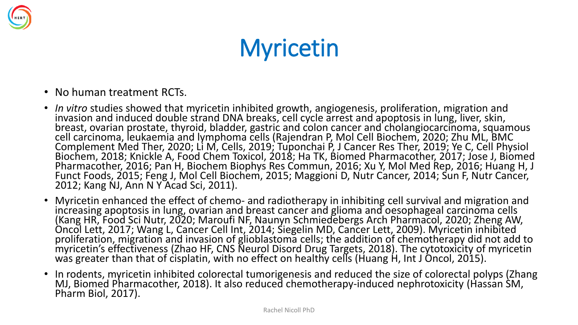

# **Myricetin**

- No human treatment RCTs.
- *In vitro* studies showed that myricetin inhibited growth, angiogenesis, proliferation, migration and invasion and induced double strand DNA breaks, cell cycle arrest and apoptosis in lung, liver, skin, breast, ovarian prostate, thyroid, bladder, gastric and colon cancer and cholangiocarcinoma, squamous cell carcinoma, leukaemia and lymphoma cells (Rajendran P, Mol Cell Biochem, 2020; Zhu ML, BMC Complement Med Ther, 2020; Li M, Cells, 2019; Tuponchai P, J Cancer Res Ther, 2019; Ye C, Cell Physiol Biochem, 2018; Knickle A, Food Chem Toxicol, 2018; Ha TK, Biomed Pharmacother, 2017; Jose J, Biomed Pharmacother, 2016; Pan H, Biochem Biophys Res Commun, 2016; Xu Y, Mol Med Rep, 2016; Huang H, J Funct Foods, 2015; Feng J, Mol Cell Biochem, 2015; Maggioni D, Nutr Cancer, 2014; Sun F, Nutr Cancer, 2012; Kang NJ, Ann N Y Acad Sci, 2011).
- Myricetin enhanced the effect of chemo- and radiotherapy in inhibiting cell survival and migration and increasing apoptosis in lung, ovarian and breast cancer and glioma and oesophageal carcinoma cells (Kang HR, Food Sci Nutr, 2020; Maroufi NF, Naunyn Schmiedebergs Arch Pharmacol, 2020; Zheng AW, Oncol Lett, 2017; Wang L, Cancer Cell Int, 2014; Siegelin MD, Cancer Lett, 2009). Myricetin inhibited proliferation, migration and invasion of glioblastoma cells; the addition of chemotherapy did not add to myricetin's effectiveness (Zhao HF, CNS Neurol Disord Drug Targets, 2018). The cytotoxicity of myricetin was greater than that of cisplatin, with no effect on healthy cells (Huang H, Int J Oncol, 2015).
- In rodents, myricetin inhibited colorectal tumorigenesis and reduced the size of colorectal polyps (Zhang MJ, Biomed Pharmacother, 2018). It also reduced chemotherapy-induced nephrotoxicity (Hassan SM, Pharm Biol, 2017).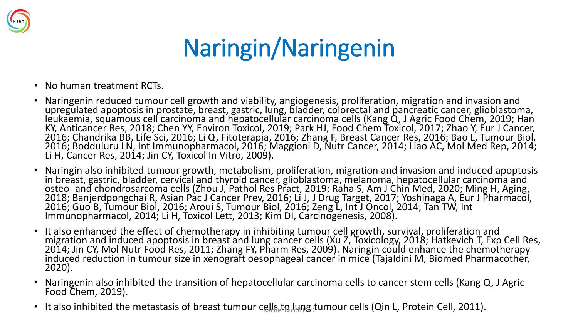

# Naringin/Naringenin

- No human treatment RCTs.
- Naringenin reduced tumour cell growth and viability, angiogenesis, proliferation, migration and invasion and upregulated apoptosis in prostate, breast, gastric, lung, bladder, colorectal and pancreatic cancer, glioblastoma, leukaemia, squamous cell carcinoma and hepatocellular carcinoma cells (Kang Q, J Agric Food Chem, 2019; Han KY, Anticancer Res, 2018; Chen YY, Environ Toxicol, 2019; Park HJ, Food Chem Toxicol, 2017; Zhao Y, Eur J Cancer, 2016; Chandrika BB, Life Sci, 2016; Li Q, Fitoterapia, 2016; Zhang F, Breast Cancer Res, 2016; Bao L, Tumour Biol, 2016; Bodduluru LN, Int Immunopharmacol, 2016; Maggioni D, Nutr Cancer, 2014; Liao AC, Mol Med Rep, 2014; Li H, Cancer Res, 2014; Jin CY, Toxicol In Vitro, 2009).
- Naringin also inhibited tumour growth, metabolism, proliferation, migration and invasion and induced apoptosis in breast, gastric, bladder, cervical and thyroid cancer, glioblastoma, melanoma, hepatocellular carcinoma and osteo- and chondrosarcoma cells (Zhou J, Pathol Res Pract, 2019; Raha S, Am J Chin Med, 2020; Ming H, Aging, 2018; Banjerdpongchai R, Asian Pac J Cancer Prev, 2016; Li J, J Drug Target, 2017; Yoshinaga A, Eur J Pharmacol, 2016; Guo B, Tumour Biol, 2016; Aroui S, Tumour Biol, 2016; Zeng L, Int J Oncol, 2014; Tan TW, Int Immunopharmacol, 2014; Li H, Toxicol Lett, 2013; Kim DI, Carcinogenesis, 2008).
- It also enhanced the effect of chemotherapy in inhibiting tumour cell growth, survival, proliferation and migration and induced apoptosis in breast and lung cancer cells (Xu Z, Toxicology, 2018; Hatkevich T, Exp Cell Res, 2014; Jin CY, Mol Nutr Food Res, 2011; Zhang FY, Pharm Res, 2009). Naringin could enhance the chemotherapyinduced reduction in tumour size in xenograft oesophageal cancer in mice (Tajaldini M, Biomed Pharmacother, 2020).
- Naringenin also inhibited the transition of hepatocellular carcinoma cells to cancer stem cells (Kang Q, J Agric Food Chem, 2019).
- It also inhibited the metastasis of breast tumour cells to lung tumour cells (Qin L, Protein Cell, 2011).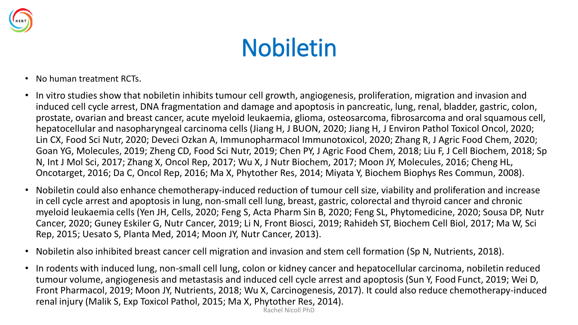

# Nobiletin

- No human treatment RCTs.
- In vitro studies show that nobiletin inhibits tumour cell growth, angiogenesis, proliferation, migration and invasion and induced cell cycle arrest, DNA fragmentation and damage and apoptosis in pancreatic, lung, renal, bladder, gastric, colon, prostate, ovarian and breast cancer, acute myeloid leukaemia, glioma, osteosarcoma, fibrosarcoma and oral squamous cell, hepatocellular and nasopharyngeal carcinoma cells (Jiang H, J BUON, 2020; Jiang H, J Environ Pathol Toxicol Oncol, 2020; Lin CX, Food Sci Nutr, 2020; Deveci Ozkan A, Immunopharmacol Immunotoxicol, 2020; Zhang R, J Agric Food Chem, 2020; Goan YG, Molecules, 2019; Zheng CD, Food Sci Nutr, 2019; Chen PY, J Agric Food Chem, 2018; Liu F, J Cell Biochem, 2018; Sp N, Int J Mol Sci, 2017; Zhang X, Oncol Rep, 2017; Wu X, J Nutr Biochem, 2017; Moon JY, Molecules, 2016; Cheng HL, Oncotarget, 2016; Da C, Oncol Rep, 2016; Ma X, Phytother Res, 2014; Miyata Y, Biochem Biophys Res Commun, 2008).
- Nobiletin could also enhance chemotherapy-induced reduction of tumour cell size, viability and proliferation and increase in cell cycle arrest and apoptosis in lung, non-small cell lung, breast, gastric, colorectal and thyroid cancer and chronic myeloid leukaemia cells (Yen JH, Cells, 2020; Feng S, Acta Pharm Sin B, 2020; Feng SL, Phytomedicine, 2020; Sousa DP, Nutr Cancer, 2020; Guney Eskiler G, Nutr Cancer, 2019; Li N, Front Biosci, 2019; Rahideh ST, Biochem Cell Biol, 2017; Ma W, Sci Rep, 2015; Uesato S, Planta Med, 2014; Moon JY, Nutr Cancer, 2013).
- Nobiletin also inhibited breast cancer cell migration and invasion and stem cell formation (Sp N, Nutrients, 2018).
- In rodents with induced lung, non-small cell lung, colon or kidney cancer and hepatocellular carcinoma, nobiletin reduced tumour volume, angiogenesis and metastasis and induced cell cycle arrest and apoptosis (Sun Y, Food Funct, 2019; Wei D, Front Pharmacol, 2019; Moon JY, Nutrients, 2018; Wu X, Carcinogenesis, 2017). It could also reduce chemotherapy-induced renal injury (Malik S, Exp Toxicol Pathol, 2015; Ma X, Phytother Res, 2014).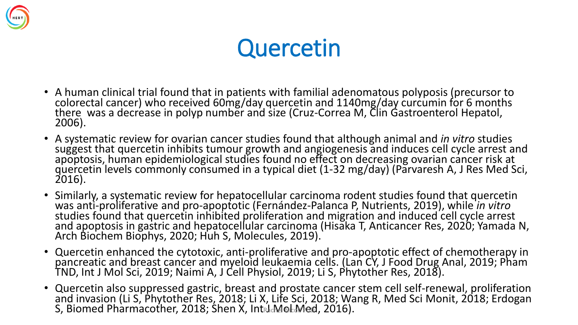

### **Quercetin**

- A human clinical trial found that in patients with familial adenomatous polyposis (precursor to colorectal cancer) who received 60mg/day quercetin and 1140mg/day curcumin for 6 months there was a decrease in polyp number and size (Cruz-Correa M, Clin Gastroenterol Hepatol, 2006).
- A systematic review for ovarian cancer studies found that although animal and *in vitro* studies suggest that quercetin inhibits tumour growth and angiogenesis and induces cell cycle arrest and apoptosis, human epidemiological studies found no effect on decreasing ovarian cancer risk at quercetin levels commonly consumed in a typical diet (1-32 mg/day) (Parvaresh A, J Res Med Sci, 2016).
- Similarly, a systematic review for hepatocellular carcinoma rodent studies found that quercetin was anti-proliferative and pro-apoptotic (Fernández-Palanca P, Nutrients, 2019), while *in vitro*  studies found that quercetin inhibited proliferation and migration and induced cell cycle arrest and apoptosis in gastric and hepatocellular carcinoma (Hisaka T, Anticancer Res, 2020; Yamada N, Arch Biochem Biophys, 2020; Huh S, Molecules, 2019).
- Quercetin enhanced the cytotoxic, anti-proliferative and pro-apoptotic effect of chemotherapy in pancreatic and breast cancer and myeloid leukaemia cells. (Lan CY, J Food Drug Anal, 2019; Pham TND, Int J Mol Sci, 2019; Naimi A, J Cell Physiol, 2019; Li S, Phytother Res, 2018).
- Quercetin also suppressed gastric, breast and prostate cancer stem cell self-renewal, proliferation and invasion (Li S, Phytother Res, 2018; Li X, Life Sci, 2018; Wang R, Med Sci Monit, 2018; Erdogan S, Biomed Pharmacother, 2018; Shen  $\chi$ , Intridentional Algebraic 2016).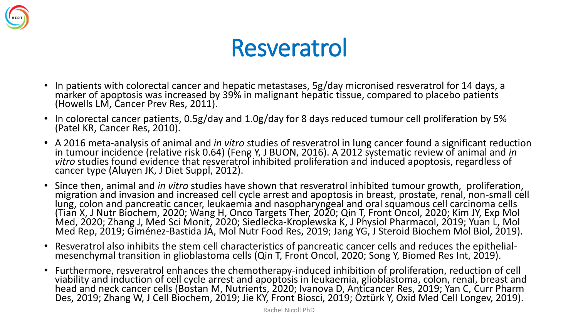

#### Resveratrol

- In patients with colorectal cancer and hepatic metastases, 5g/day micronised resveratrol for 14 days, a marker of apoptosis was increased by 39% in malignant hepatic tissue, compared to placebo patients (Howells LM, Cancer Prev Res, 2011).
- In colorectal cancer patients, 0.5g/day and 1.0g/day for 8 days reduced tumour cell proliferation by 5% (Patel KR, Cancer Res, 2010).
- A 2016 meta-analysis of animal and *in vitro* studies of resveratrol in lung cancer found a significant reduction in tumour incidence (relative risk 0.64) (Feng Y, J BUON, 2016). A 2012 systematic review of animal and *in vitro* studies found evidence that resveratrol inhibited proliferation and induced apoptosis, regardless of cancer type (Aluyen JK, J Diet Suppl, 2012).
- Since then, animal and *in vitro* studies have shown that resveratrol inhibited tumour growth, proliferation, migration and invasion and increased cell cycle arrest and apoptosis in breast, prostate, renal, non-small cell lung, colon and pancreatic cancer, leukaemia and nasopharyngeal and oral squamous cell carcinoma cells (Tian X, J Nutr Biochem, 2020; Wang H, Onco Targets Ther, 2020; Qin T, Front Oncol, 2020; Kim JY, Exp Mol Med, 2020; Zhang J, Med Sci Monit, 2020; Siedlecka-Kroplewska K, J Physiol Pharmacol, 2019; Yuan L, Mol Med Rep, 2019; Giménez-Bastida JÁ, Mol Nutr Food Res, 2019; Jang YG, J Steroid Biochem Mol Biol, 2019).
- Resveratrol also inhibits the stem cell characteristics of pancreatic cancer cells and reduces the epithelialmesenchymal transition in glioblastoma cells (Qin T, Front Oncol, 2020; Song Y, Biomed Res Int, 2019).
- Furthermore, resveratrol enhances the chemotherapy-induced inhibition of proliferation, reduction of cell viability and induction of cell cycle arrest and apoptosis in leukaemia, glioblastoma, colon, renal, breast and head and neck cancer cells (Bostan M, Nutrients, 2020; Ivanova D, Anticancer Res, 2019; Yan C, Curr Pharm Des, 2019; Zhang W, J Cell Biochem, 2019; Jie KY, Front Biosci, 2019; Öztürk Y, Oxid Med Cell Longev, 2019).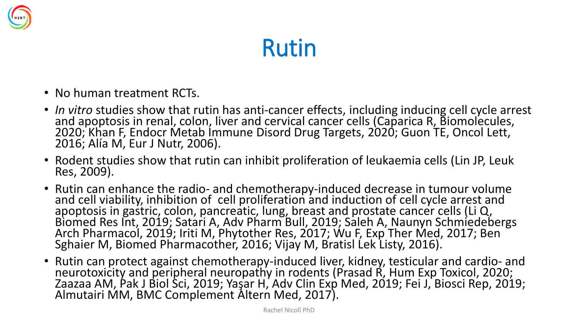

### Rutin

- No human treatment RCTs.
- *In vitro* studies show that rutin has anti-cancer effects, including inducing cell cycle arrest and apoptosis in renal, colon, liver and cervical cancer cells (Caparica R, Biomolecules, 2020; Khan F, Endocr Metab Immune Disord Drug Targets, 2020; Guon TE, Oncol Lett, 2016; Alía M, Eur J Nutr, 2006).
- Rodent studies show that rutin can inhibit proliferation of leukaemia cells (Lin JP, Leuk Res, 2009).
- Rutin can enhance the radio- and chemotherapy-induced decrease in tumour volume and cell viability, inhibition of cell proliferation and induction of cell cycle arrest and apoptosis in gastric, colon, pancreatic, lung, breast and prostate cancer cells (Li Q, Biomed Res Int, 2019; Satari A, Adv Pharm Bull, 2019; Saleh A, Naunyn Schmiedebergs Arch Pharmacol, 2019; Iriti M, Phytother Res, 2017; Wu F, Exp Ther Med, 2017; Ben Sghaier M, Biomed Pharmacother, 2016; Vijay M, Bratisl Lek Listy, 2016).
- Rutin can protect against chemotherapy-induced liver, kidney, testicular and cardio- and neurotoxicity and peripheral neuropathy in rodents (Prasad R, Hum Exp Toxicol, 2020; Zaazaa AM, Pak J Biol Sci, 2019; Yaşar H, Adv Clin Exp Med, 2019; Fei J, Biosci Rep, 2019; Almutairi MM, BMC Complement Altern Med, 2017).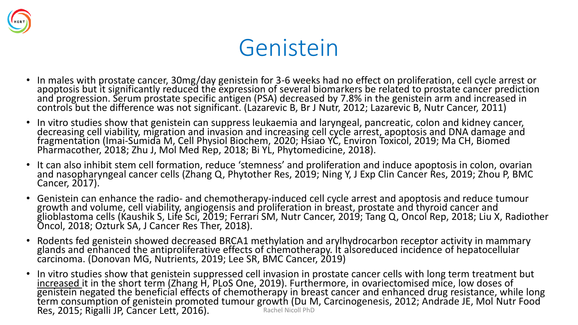

#### Genistein

- In males with prostate cancer, 30mg/day genistein for 3-6 weeks had no effect on proliferation, cell cycle arrest or apoptosis but it significantly reduced the expression of several biomarkers be related to prostate cancer prediction and progression. Serum prostate specific antigen (PSA) decreased by 7.8% in the genistein arm and increased in controls but the difference was not significant. (Lazarevic B, Br J Nutr, 2012; Lazarevic B, Nutr Cancer, 2011)
- In vitro studies show that genistein can suppress leukaemia and laryngeal, pancreatic, colon and kidney cancer, decreasing cell viability, migration and invasion and increasing cell cycle arrest, apoptosis and DNA damage and fragmentation (Imai-Sumida M, Cell Physiol Biochem, 2020; Hsiao YC, Environ Toxicol, 2019; Ma CH, Biomed Pharmacother, 2018; Zhu J, Mol Med Rep, 2018; Bi YL, Phytomedicine, 2018).
- It can also inhibit stem cell formation, reduce 'stemness' and proliferation and induce apoptosis in colon, ovarian and nasopharyngeal cancer cells (Zhang Q, Phytother Res, 2019; Ning Y, J Exp Clin Cancer Res, 2019; Zhou P, BMC Cancer, 2017).
- Genistein can enhance the radio- and chemotherapy-induced cell cycle arrest and apoptosis and reduce tumour growth and volume, cell viability, angiogensis and proliferation in breast, prostate and thyroid cancer and glioblastoma cells (Kaushik S, Life Sci, 2019; Ferrari SM, Nutr Cancer, 2019; Tang Q, Oncol Rep, 2018; Liu X, Radiother Oncol, 2018; Ozturk SA, J Cancer Res Ther, 2018).
- Rodents fed genistein showed decreased BRCA1 methylation and arylhydrocarbon receptor activity in mammary glands and enhanced the antiproliferative effects of chemotherapy. It alsoreduced incidence of hepatocellular carcinoma. (Donovan MG, Nutrients, 2019; Lee SR, BMC Cancer, 2019)
- In vitro studies show that genistein suppressed cell invasion in prostate cancer cells with long term treatment but increased it in the short term (Zhang H, PLoS One, 2019). Furthermore, in ovariectomised mice, low doses of genistein negated the beneficial effects of chemotherapy in breast cancer and enhanced drug resistance, while long term consumption of genistein promoted tumour growth (Du M, Carcinogenesis, 2012; Andrade JE, Mol Nutr Food<br>Res. 2015: Rigalli JP Cancer Lett. 2016) Res, 2015; Rigalli JP, Cancer Lett, 2016).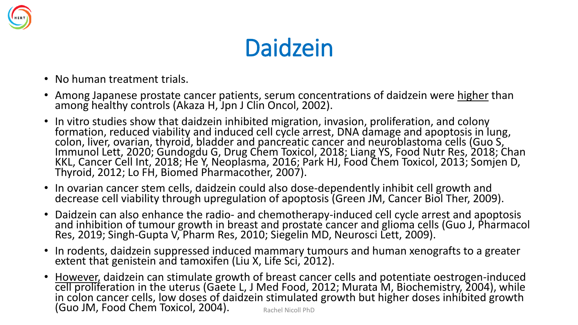

### Daidzein

- No human treatment trials.
- Among Japanese prostate cancer patients, serum concentrations of daidzein were higher than among healthy controls (Akaza H, Jpn J Clin Oncol, 2002).
- In vitro studies show that daidzein inhibited migration, invasion, proliferation, and colony formation, reduced viability and induced cell cycle arrest, DNA damage and apoptosis in lung, colon, liver, ovarian, thyroid, bladder and pancreatic cancer and neuroblastoma cells (Guo S, Immunol Lett, 2020; Gundogdu G, Drug Chem Toxicol, 2018; Liang YS, Food Nutr Res, 2018; Chan KKL, Cancer Cell Int, 2018; He Y, Neoplasma, 2016; Park HJ, Food Chem Toxicol, 2013; Somjen D, Thyroid, 2012; Lo FH, Biomed Pharmacother, 2007).
- In ovarian cancer stem cells, daidzein could also dose-dependently inhibit cell growth and decrease cell viability through upregulation of apoptosis (Green JM, Cancer Biol Ther, 2009).
- Daidzein can also enhance the radio- and chemotherapy-induced cell cycle arrest and apoptosis and inhibition of tumour growth in breast and prostate cancer and glioma cells (Guo J, Pharmacol Res, 2019; Singh-Gupta V, Pharm Res, 2010; Siegelin MD, Neurosci Lett, 2009).
- In rodents, daidzein suppressed induced mammary tumours and human xenografts to a greater extent that genistein and tamoxifen (Liu X, Life Sci, 2012).
- However, daidzein can stimulate growth of breast cancer cells and potentiate oestrogen-induced cell proliferation in the uterus (Gaete L, J Med Food, 2012; Murata M, Biochemistry, 2004), while in colon cancer cells, low doses of daidzein stimulated growth but higher doses inhibited growth (Guo JM, Food Chem Toxicol, 2004). Rachel Nicoll PhD